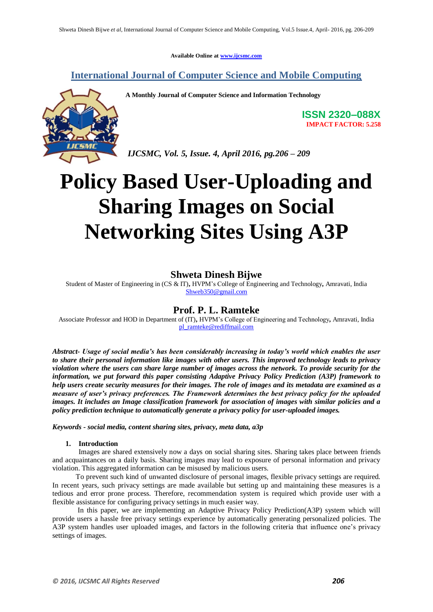**Available Online at www.ijcsmc.com**

**International Journal of Computer Science and Mobile Computing**



**A Monthly Journal of Computer Science and Information Technology**

**ISSN 2320–088X IMPACT FACTOR: 5.258**

*IJCSMC, Vol. 5, Issue. 4, April 2016, pg.206 – 209*

# **Policy Based User-Uploading and Sharing Images on Social Networking Sites Using A3P**

# **Shweta Dinesh Bijwe**

Student of Master of Engineering in (CS & IT)**,** HVPM"s College of Engineering and Technology**,** Amravati, India Shweb350@gmail.com

# **Prof. P. L. Ramteke**

Associate Professor and HOD in Department of (IT)**,** HVPM"s College of Engineering and Technology**,** Amravati, India pl\_ramteke@rediffmail.com

*Abstract- Usage of social media's has been considerably increasing in today's world which enables the user to share their personal information like images with other users. This improved technology leads to privacy violation where the users can share large number of images across the network. To provide security for the information, we put forward this paper consisting Adaptive Privacy Policy Prediction (A3P) framework to help users create security measures for their images. The role of images and its metadata are examined as a measure of user's privacy preferences. The Framework determines the best privacy policy for the uploaded images. It includes an Image classification framework for association of images with similar policies and a policy prediction technique to automatically generate a privacy policy for user-uploaded images.*

*Keywords - social media, content sharing sites, privacy, meta data, a3p*

## **1. Introduction**

Images are shared extensively now a days on social sharing sites. Sharing takes place between friends and acquaintances on a daily basis. Sharing images may lead to exposure of personal information and privacy violation. This aggregated information can be misused by malicious users.

 To prevent such kind of unwanted disclosure of personal images, flexible privacy settings are required. In recent years, such privacy settings are made available but setting up and maintaining these measures is a tedious and error prone process. Therefore, recommendation system is required which provide user with a flexible assistance for configuring privacy settings in much easier way.

 In this paper, we are implementing an Adaptive Privacy Policy Prediction(A3P) system which will provide users a hassle free privacy settings experience by automatically generating personalized policies. The A3P system handles user uploaded images, and factors in the following criteria that influence one's privacy settings of images.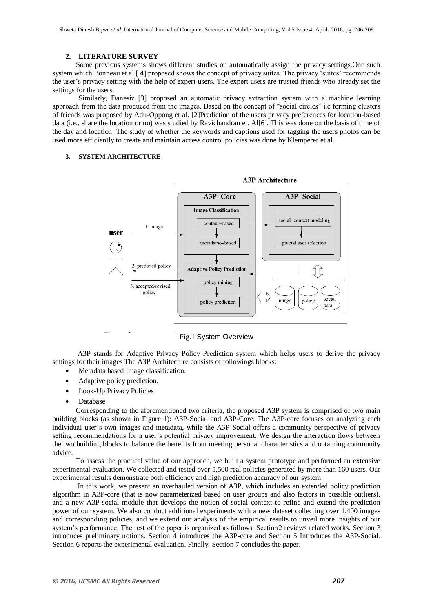#### **2. LITERATURE SURVEY**

 Some previous systems shows different studies on automatically assign the privacy settings.One such system which Bonneau et al. [4] proposed shows the concept of privacy suites. The privacy 'suites' recommends the user"s privacy setting with the help of expert users. The expert users are trusted friends who already set the settings for the users.

Similarly, Danesiz [3] proposed an automatic privacy extraction system with a machine learning approach from the data produced from the images. Based on the concept of "social circles" i.e forming clusters of friends was proposed by Adu-Oppong et al. [2]Prediction of the users privacy preferences for location-based data (i.e., share the location or no) was studied by Ravichandran et. Al[6]. This was done on the basis of time of the day and location. The study of whether the keywords and captions used for tagging the users photos can be used more efficiently to create and maintain access control policies was done by Klemperer et al.

## **3. SYSTEM ARCHITECTURE**



Fig.1 System Overview

 A3P stands for Adaptive Privacy Policy Prediction system which helps users to derive the privacy settings for their images The A3P Architecture consists of followings blocks:

- Metadata based Image classification.
- Adaptive policy prediction.
- Look-Up Privacy Policies
- Database

 Corresponding to the aforementioned two criteria, the proposed A3P system is comprised of two main building blocks (as shown in Figure 1): A3P-Social and A3P-Core. The A3P-core focuses on analyzing each individual user"s own images and metadata, while the A3P-Social offers a community perspective of privacy setting recommendations for a user's potential privacy improvement. We design the interaction flows between the two building blocks to balance the benefits from meeting personal characteristics and obtaining community advice.

 To assess the practical value of our approach, we built a system prototype and performed an extensive experimental evaluation. We collected and tested over 5,500 real policies generated by more than 160 users. Our experimental results demonstrate both efficiency and high prediction accuracy of our system.

 In this work, we present an overhauled version of A3P, which includes an extended policy prediction algorithm in A3P-core (that is now parameterized based on user groups and also factors in possible outliers), and a new A3P-social module that develops the notion of social context to refine and extend the prediction power of our system. We also conduct additional experiments with a new dataset collecting over 1,400 images and corresponding policies, and we extend our analysis of the empirical results to unveil more insights of our system's performance. The rest of the paper is organized as follows. Section 2 reviews related works. Section 3 introduces preliminary notions. Section 4 introduces the A3P-core and Section 5 Introduces the A3P-Social. Section 6 reports the experimental evaluation. Finally, Section 7 concludes the paper.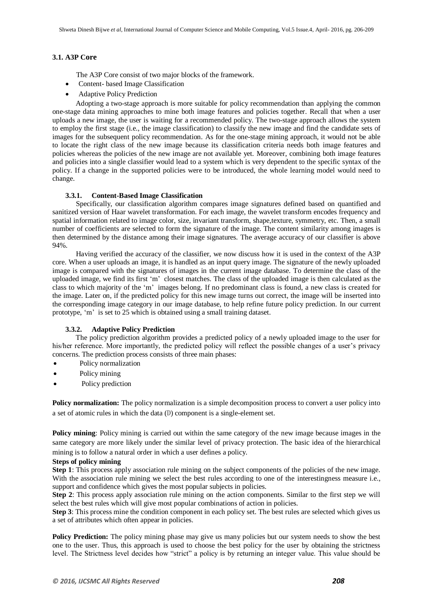### **3.1. A3P Core**

The A3P Core consist of two major blocks of the framework.

- Content- based Image Classification
- Adaptive Policy Prediction

 Adopting a two-stage approach is more suitable for policy recommendation than applying the common one-stage data mining approaches to mine both image features and policies together. Recall that when a user uploads a new image, the user is waiting for a recommended policy. The two-stage approach allows the system to employ the first stage (i.e., the image classification) to classify the new image and find the candidate sets of images for the subsequent policy recommendation. As for the one-stage mining approach, it would not be able to locate the right class of the new image because its classification criteria needs both image features and policies whereas the policies of the new image are not available yet. Moreover, combining both image features and policies into a single classifier would lead to a system which is very dependent to the specific syntax of the policy. If a change in the supported policies were to be introduced, the whole learning model would need to change.

#### **3.3.1. Content-Based Image Classification**

 Specifically, our classification algorithm compares image signatures defined based on quantified and sanitized version of Haar wavelet transformation. For each image, the wavelet transform encodes frequency and spatial information related to image color, size, invariant transform, shape,texture, symmetry, etc. Then, a small number of coefficients are selected to form the signature of the image. The content similarity among images is then determined by the distance among their image signatures. The average accuracy of our classifier is above 94%.

 Having verified the accuracy of the classifier, we now discuss how it is used in the context of the A3P core. When a user uploads an image, it is handled as an input query image. The signature of the newly uploaded image is compared with the signatures of images in the current image database. To determine the class of the uploaded image, we find its first "m" closest matches. The class of the uploaded image is then calculated as the class to which majority of the "m" images belong. If no predominant class is found, a new class is created for the image. Later on, if the predicted policy for this new image turns out correct, the image will be inserted into the corresponding image category in our image database, to help refine future policy prediction. In our current prototype, 'm' is set to 25 which is obtained using a small training dataset.

#### **3.3.2. Adaptive Policy Prediction**

 The policy prediction algorithm provides a predicted policy of a newly uploaded image to the user for his/her reference. More importantly, the predicted policy will reflect the possible changes of a user's privacy concerns. The prediction process consists of three main phases:

- Policy normalization
- Policy mining
- Policy prediction

**Policy normalization:** The policy normalization is a simple decomposition process to convert a user policy into a set of atomic rules in which the data (D) component is a single-element set.

**Policy mining**: Policy mining is carried out within the same category of the new image because images in the same category are more likely under the similar level of privacy protection. The basic idea of the hierarchical mining is to follow a natural order in which a user defines a policy.

#### **Steps of policy mining**

**Step 1**: This process apply association rule mining on the subject components of the policies of the new image. With the association rule mining we select the best rules according to one of the interestingness measure i.e., support and confidence which gives the most popular subjects in policies.

**Step 2**: This process apply association rule mining on the action components. Similar to the first step we will select the best rules which will give most popular combinations of action in policies.

**Step 3**: This process mine the condition component in each policy set. The best rules are selected which gives us a set of attributes which often appear in policies.

**Policy Prediction:** The policy mining phase may give us many policies but our system needs to show the best one to the user. Thus, this approach is used to choose the best policy for the user by obtaining the strictness level. The Strictness level decides how "strict" a policy is by returning an integer value. This value should be